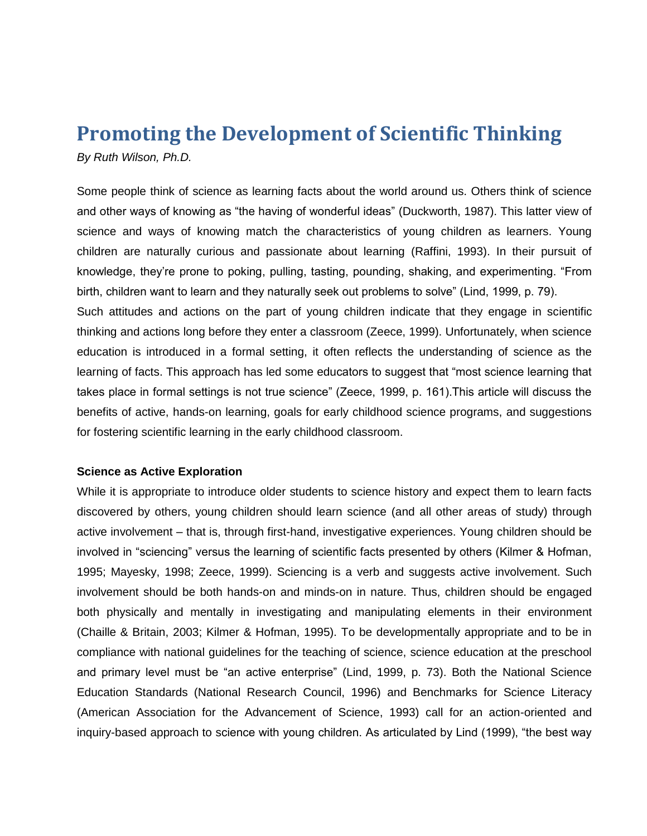# **Promoting the Development of Scientific Thinking**

*By Ruth Wilson, Ph.D.*

Some people think of science as learning facts about the world around us. Others think of science and other ways of knowing as "the having of wonderful ideas" (Duckworth, 1987). This latter view of science and ways of knowing match the characteristics of young children as learners. Young children are naturally curious and passionate about learning (Raffini, 1993). In their pursuit of knowledge, they're prone to poking, pulling, tasting, pounding, shaking, and experimenting. "From birth, children want to learn and they naturally seek out problems to solve" (Lind, 1999, p. 79).

Such attitudes and actions on the part of young children indicate that they engage in scientific thinking and actions long before they enter a classroom (Zeece, 1999). Unfortunately, when science education is introduced in a formal setting, it often reflects the understanding of science as the learning of facts. This approach has led some educators to suggest that "most science learning that takes place in formal settings is not true science" (Zeece, 1999, p. 161).This article will discuss the benefits of active, hands-on learning, goals for early childhood science programs, and suggestions for fostering scientific learning in the early childhood classroom.

#### **Science as Active Exploration**

While it is appropriate to introduce older students to science history and expect them to learn facts discovered by others, young children should learn science (and all other areas of study) through active involvement – that is, through first-hand, investigative experiences. Young children should be involved in "sciencing" versus the learning of scientific facts presented by others (Kilmer & Hofman, 1995; Mayesky, 1998; Zeece, 1999). Sciencing is a verb and suggests active involvement. Such involvement should be both hands-on and minds-on in nature. Thus, children should be engaged both physically and mentally in investigating and manipulating elements in their environment (Chaille & Britain, 2003; Kilmer & Hofman, 1995). To be developmentally appropriate and to be in compliance with national guidelines for the teaching of science, science education at the preschool and primary level must be "an active enterprise" (Lind, 1999, p. 73). Both the National Science Education Standards (National Research Council, 1996) and Benchmarks for Science Literacy (American Association for the Advancement of Science, 1993) call for an action-oriented and inquiry-based approach to science with young children. As articulated by Lind (1999), "the best way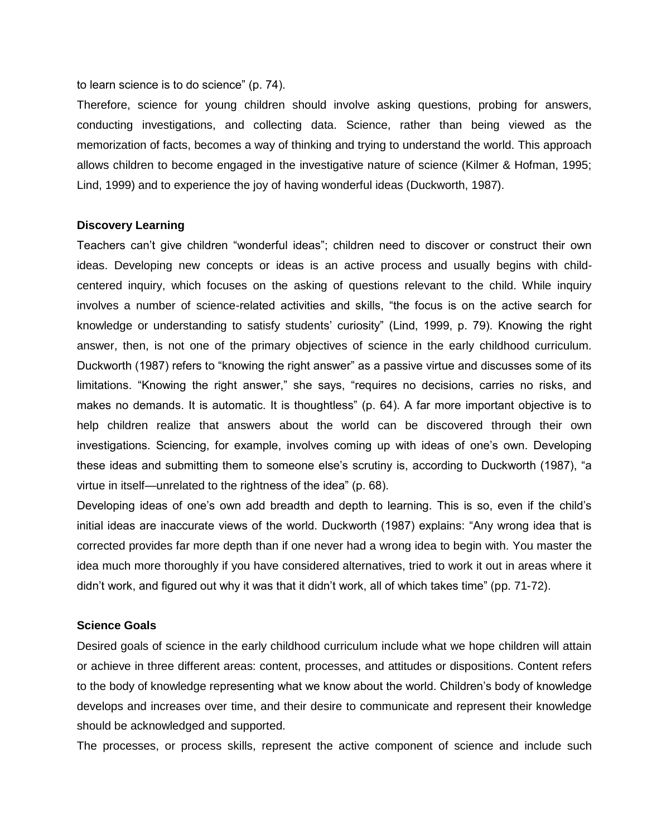to learn science is to do science" (p. 74).

Therefore, science for young children should involve asking questions, probing for answers, conducting investigations, and collecting data. Science, rather than being viewed as the memorization of facts, becomes a way of thinking and trying to understand the world. This approach allows children to become engaged in the investigative nature of science (Kilmer & Hofman, 1995; Lind, 1999) and to experience the joy of having wonderful ideas (Duckworth, 1987).

#### **Discovery Learning**

Teachers can't give children "wonderful ideas"; children need to discover or construct their own ideas. Developing new concepts or ideas is an active process and usually begins with childcentered inquiry, which focuses on the asking of questions relevant to the child. While inquiry involves a number of science-related activities and skills, "the focus is on the active search for knowledge or understanding to satisfy students' curiosity" (Lind, 1999, p. 79). Knowing the right answer, then, is not one of the primary objectives of science in the early childhood curriculum. Duckworth (1987) refers to "knowing the right answer" as a passive virtue and discusses some of its limitations. "Knowing the right answer," she says, "requires no decisions, carries no risks, and makes no demands. It is automatic. It is thoughtless" (p. 64). A far more important objective is to help children realize that answers about the world can be discovered through their own investigations. Sciencing, for example, involves coming up with ideas of one's own. Developing these ideas and submitting them to someone else's scrutiny is, according to Duckworth (1987), "a virtue in itself—unrelated to the rightness of the idea" (p. 68).

Developing ideas of one's own add breadth and depth to learning. This is so, even if the child's initial ideas are inaccurate views of the world. Duckworth (1987) explains: "Any wrong idea that is corrected provides far more depth than if one never had a wrong idea to begin with. You master the idea much more thoroughly if you have considered alternatives, tried to work it out in areas where it didn't work, and figured out why it was that it didn't work, all of which takes time" (pp. 71-72).

#### **Science Goals**

Desired goals of science in the early childhood curriculum include what we hope children will attain or achieve in three different areas: content, processes, and attitudes or dispositions. Content refers to the body of knowledge representing what we know about the world. Children's body of knowledge develops and increases over time, and their desire to communicate and represent their knowledge should be acknowledged and supported.

The processes, or process skills, represent the active component of science and include such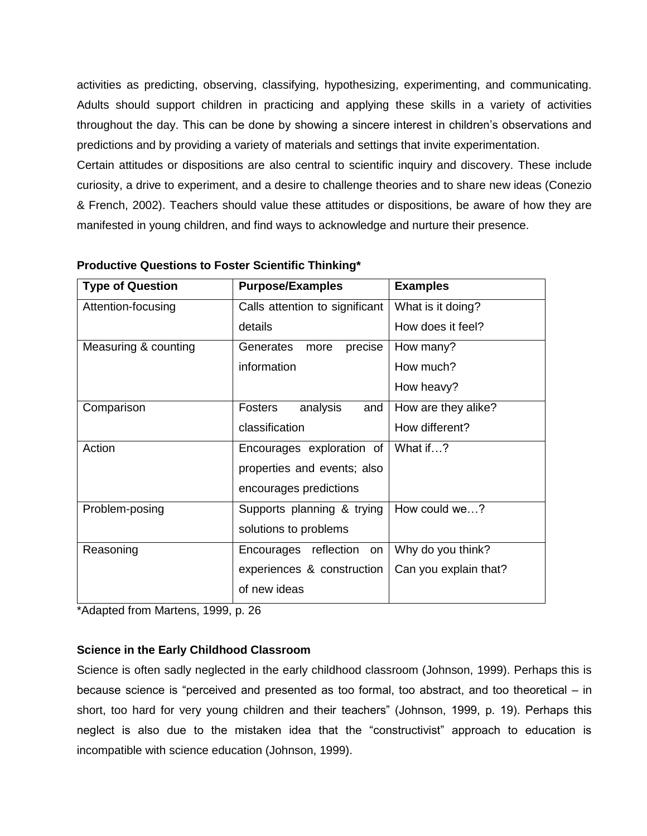activities as predicting, observing, classifying, hypothesizing, experimenting, and communicating. Adults should support children in practicing and applying these skills in a variety of activities throughout the day. This can be done by showing a sincere interest in children's observations and predictions and by providing a variety of materials and settings that invite experimentation.

Certain attitudes or dispositions are also central to scientific inquiry and discovery. These include curiosity, a drive to experiment, and a desire to challenge theories and to share new ideas (Conezio & French, 2002). Teachers should value these attitudes or dispositions, be aware of how they are manifested in young children, and find ways to acknowledge and nurture their presence.

| <b>Type of Question</b> | <b>Purpose/Examples</b>           | <b>Examples</b>       |
|-------------------------|-----------------------------------|-----------------------|
| Attention-focusing      | Calls attention to significant    | What is it doing?     |
|                         | details                           | How does it feel?     |
| Measuring & counting    | Generates<br>precise<br>more      | How many?             |
|                         | information                       | How much?             |
|                         |                                   | How heavy?            |
| Comparison              | analysis<br><b>Fosters</b><br>and | How are they alike?   |
|                         | classification                    | How different?        |
| Action                  | Encourages exploration of         | What if?              |
|                         | properties and events; also       |                       |
|                         | encourages predictions            |                       |
| Problem-posing          | Supports planning & trying        | How could we?         |
|                         | solutions to problems             |                       |
| Reasoning               | Encourages reflection on          | Why do you think?     |
|                         | experiences & construction        | Can you explain that? |
|                         | of new ideas                      |                       |
|                         |                                   |                       |

## **Productive Questions to Foster Scientific Thinking\***

\*Adapted from Martens, 1999, p. 26

## **Science in the Early Childhood Classroom**

Science is often sadly neglected in the early childhood classroom (Johnson, 1999). Perhaps this is because science is "perceived and presented as too formal, too abstract, and too theoretical – in short, too hard for very young children and their teachers" (Johnson, 1999, p. 19). Perhaps this neglect is also due to the mistaken idea that the "constructivist" approach to education is incompatible with science education (Johnson, 1999).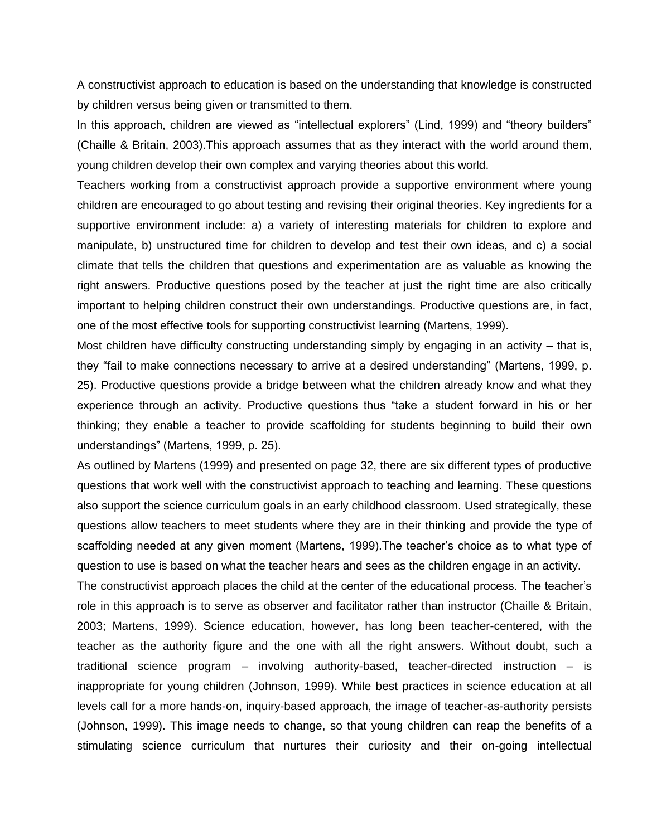A constructivist approach to education is based on the understanding that knowledge is constructed by children versus being given or transmitted to them.

In this approach, children are viewed as "intellectual explorers" (Lind, 1999) and "theory builders" (Chaille & Britain, 2003).This approach assumes that as they interact with the world around them, young children develop their own complex and varying theories about this world.

Teachers working from a constructivist approach provide a supportive environment where young children are encouraged to go about testing and revising their original theories. Key ingredients for a supportive environment include: a) a variety of interesting materials for children to explore and manipulate, b) unstructured time for children to develop and test their own ideas, and c) a social climate that tells the children that questions and experimentation are as valuable as knowing the right answers. Productive questions posed by the teacher at just the right time are also critically important to helping children construct their own understandings. Productive questions are, in fact, one of the most effective tools for supporting constructivist learning (Martens, 1999).

Most children have difficulty constructing understanding simply by engaging in an activity – that is, they "fail to make connections necessary to arrive at a desired understanding" (Martens, 1999, p. 25). Productive questions provide a bridge between what the children already know and what they experience through an activity. Productive questions thus "take a student forward in his or her thinking; they enable a teacher to provide scaffolding for students beginning to build their own understandings" (Martens, 1999, p. 25).

As outlined by Martens (1999) and presented on page 32, there are six different types of productive questions that work well with the constructivist approach to teaching and learning. These questions also support the science curriculum goals in an early childhood classroom. Used strategically, these questions allow teachers to meet students where they are in their thinking and provide the type of scaffolding needed at any given moment (Martens, 1999).The teacher's choice as to what type of question to use is based on what the teacher hears and sees as the children engage in an activity.

The constructivist approach places the child at the center of the educational process. The teacher's role in this approach is to serve as observer and facilitator rather than instructor (Chaille & Britain, 2003; Martens, 1999). Science education, however, has long been teacher-centered, with the teacher as the authority figure and the one with all the right answers. Without doubt, such a traditional science program – involving authority-based, teacher-directed instruction – is inappropriate for young children (Johnson, 1999). While best practices in science education at all levels call for a more hands-on, inquiry-based approach, the image of teacher-as-authority persists (Johnson, 1999). This image needs to change, so that young children can reap the benefits of a stimulating science curriculum that nurtures their curiosity and their on-going intellectual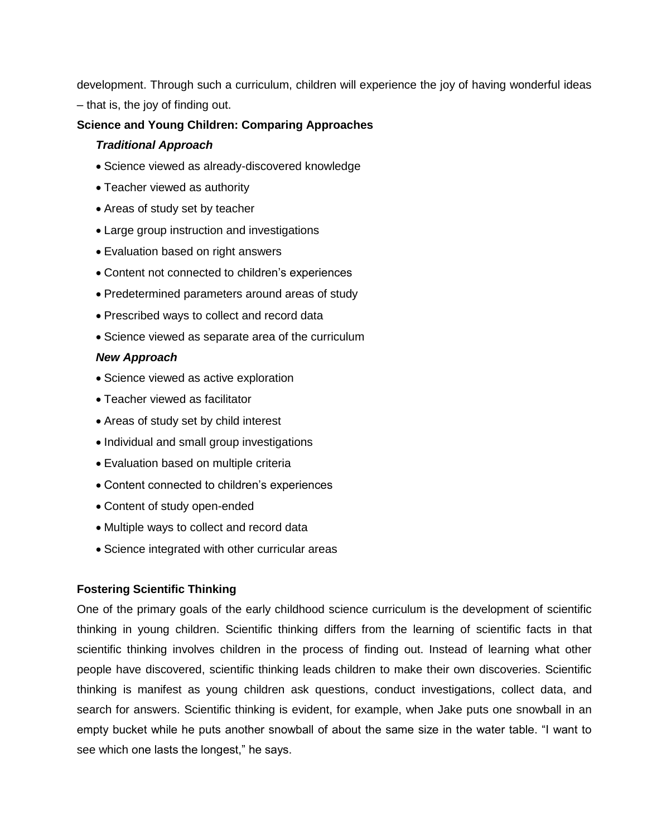development. Through such a curriculum, children will experience the joy of having wonderful ideas – that is, the joy of finding out.

#### **Science and Young Children: Comparing Approaches**

#### *Traditional Approach*

- Science viewed as already-discovered knowledge
- Teacher viewed as authority
- Areas of study set by teacher
- Large group instruction and investigations
- Evaluation based on right answers
- Content not connected to children's experiences
- Predetermined parameters around areas of study
- Prescribed ways to collect and record data
- Science viewed as separate area of the curriculum

#### *New Approach*

- Science viewed as active exploration
- Teacher viewed as facilitator
- Areas of study set by child interest
- Individual and small group investigations
- Evaluation based on multiple criteria
- Content connected to children's experiences
- Content of study open-ended
- Multiple ways to collect and record data
- Science integrated with other curricular areas

## **Fostering Scientific Thinking**

One of the primary goals of the early childhood science curriculum is the development of scientific thinking in young children. Scientific thinking differs from the learning of scientific facts in that scientific thinking involves children in the process of finding out. Instead of learning what other people have discovered, scientific thinking leads children to make their own discoveries. Scientific thinking is manifest as young children ask questions, conduct investigations, collect data, and search for answers. Scientific thinking is evident, for example, when Jake puts one snowball in an empty bucket while he puts another snowball of about the same size in the water table. "I want to see which one lasts the longest," he says.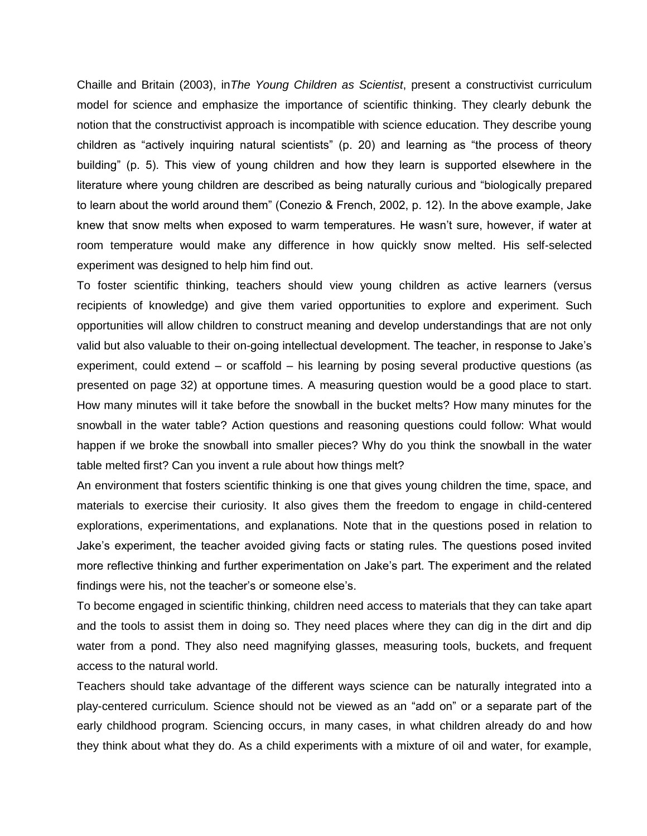Chaille and Britain (2003), in*The Young Children as Scientist*, present a constructivist curriculum model for science and emphasize the importance of scientific thinking. They clearly debunk the notion that the constructivist approach is incompatible with science education. They describe young children as "actively inquiring natural scientists" (p. 20) and learning as "the process of theory building" (p. 5). This view of young children and how they learn is supported elsewhere in the literature where young children are described as being naturally curious and "biologically prepared to learn about the world around them" (Conezio & French, 2002, p. 12). In the above example, Jake knew that snow melts when exposed to warm temperatures. He wasn't sure, however, if water at room temperature would make any difference in how quickly snow melted. His self-selected experiment was designed to help him find out.

To foster scientific thinking, teachers should view young children as active learners (versus recipients of knowledge) and give them varied opportunities to explore and experiment. Such opportunities will allow children to construct meaning and develop understandings that are not only valid but also valuable to their on-going intellectual development. The teacher, in response to Jake's experiment, could extend – or scaffold – his learning by posing several productive questions (as presented on page 32) at opportune times. A measuring question would be a good place to start. How many minutes will it take before the snowball in the bucket melts? How many minutes for the snowball in the water table? Action questions and reasoning questions could follow: What would happen if we broke the snowball into smaller pieces? Why do you think the snowball in the water table melted first? Can you invent a rule about how things melt?

An environment that fosters scientific thinking is one that gives young children the time, space, and materials to exercise their curiosity. It also gives them the freedom to engage in child-centered explorations, experimentations, and explanations. Note that in the questions posed in relation to Jake's experiment, the teacher avoided giving facts or stating rules. The questions posed invited more reflective thinking and further experimentation on Jake's part. The experiment and the related findings were his, not the teacher's or someone else's.

To become engaged in scientific thinking, children need access to materials that they can take apart and the tools to assist them in doing so. They need places where they can dig in the dirt and dip water from a pond. They also need magnifying glasses, measuring tools, buckets, and frequent access to the natural world.

Teachers should take advantage of the different ways science can be naturally integrated into a play-centered curriculum. Science should not be viewed as an "add on" or a separate part of the early childhood program. Sciencing occurs, in many cases, in what children already do and how they think about what they do. As a child experiments with a mixture of oil and water, for example,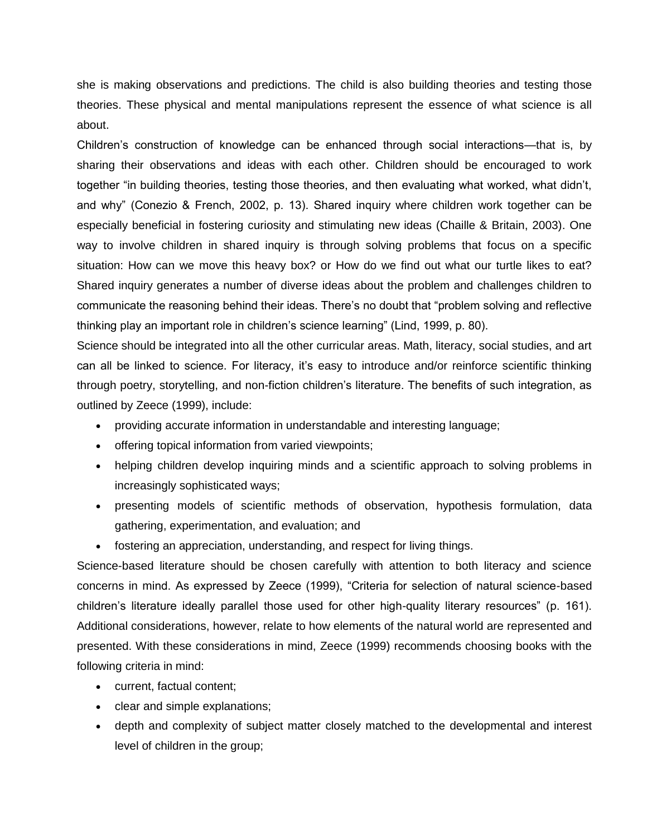she is making observations and predictions. The child is also building theories and testing those theories. These physical and mental manipulations represent the essence of what science is all about.

Children's construction of knowledge can be enhanced through social interactions—that is, by sharing their observations and ideas with each other. Children should be encouraged to work together "in building theories, testing those theories, and then evaluating what worked, what didn't, and why" (Conezio & French, 2002, p. 13). Shared inquiry where children work together can be especially beneficial in fostering curiosity and stimulating new ideas (Chaille & Britain, 2003). One way to involve children in shared inquiry is through solving problems that focus on a specific situation: How can we move this heavy box? or How do we find out what our turtle likes to eat? Shared inquiry generates a number of diverse ideas about the problem and challenges children to communicate the reasoning behind their ideas. There's no doubt that "problem solving and reflective thinking play an important role in children's science learning" (Lind, 1999, p. 80).

Science should be integrated into all the other curricular areas. Math, literacy, social studies, and art can all be linked to science. For literacy, it's easy to introduce and/or reinforce scientific thinking through poetry, storytelling, and non-fiction children's literature. The benefits of such integration, as outlined by Zeece (1999), include:

- providing accurate information in understandable and interesting language;
- offering topical information from varied viewpoints;
- helping children develop inquiring minds and a scientific approach to solving problems in increasingly sophisticated ways;
- presenting models of scientific methods of observation, hypothesis formulation, data gathering, experimentation, and evaluation; and
- fostering an appreciation, understanding, and respect for living things.

Science-based literature should be chosen carefully with attention to both literacy and science concerns in mind. As expressed by Zeece (1999), "Criteria for selection of natural science-based children's literature ideally parallel those used for other high-quality literary resources" (p. 161). Additional considerations, however, relate to how elements of the natural world are represented and presented. With these considerations in mind, Zeece (1999) recommends choosing books with the following criteria in mind:

- current, factual content;
- clear and simple explanations;
- depth and complexity of subject matter closely matched to the developmental and interest level of children in the group;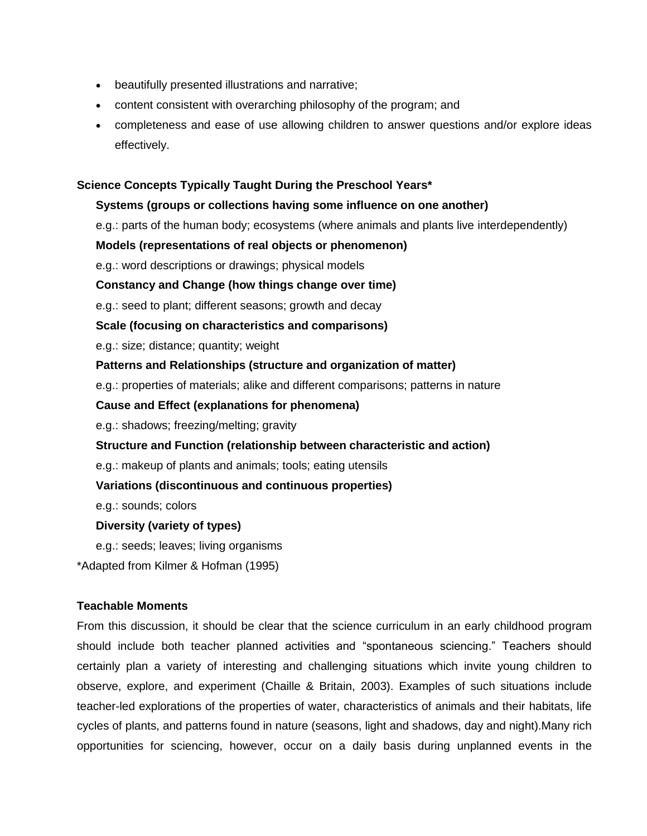- beautifully presented illustrations and narrative;
- content consistent with overarching philosophy of the program; and
- completeness and ease of use allowing children to answer questions and/or explore ideas effectively.

## **Science Concepts Typically Taught During the Preschool Years\***

## **Systems (groups or collections having some influence on one another)**

e.g.: parts of the human body; ecosystems (where animals and plants live interdependently)

#### **Models (representations of real objects or phenomenon)**

e.g.: word descriptions or drawings; physical models

#### **Constancy and Change (how things change over time)**

e.g.: seed to plant; different seasons; growth and decay

## **Scale (focusing on characteristics and comparisons)**

e.g.: size; distance; quantity; weight

#### **Patterns and Relationships (structure and organization of matter)**

e.g.: properties of materials; alike and different comparisons; patterns in nature

## **Cause and Effect (explanations for phenomena)**

e.g.: shadows; freezing/melting; gravity

## **Structure and Function (relationship between characteristic and action)**

e.g.: makeup of plants and animals; tools; eating utensils

## **Variations (discontinuous and continuous properties)**

e.g.: sounds; colors

## **Diversity (variety of types)**

e.g.: seeds; leaves; living organisms

\*Adapted from Kilmer & Hofman (1995)

#### **Teachable Moments**

From this discussion, it should be clear that the science curriculum in an early childhood program should include both teacher planned activities and "spontaneous sciencing." Teachers should certainly plan a variety of interesting and challenging situations which invite young children to observe, explore, and experiment (Chaille & Britain, 2003). Examples of such situations include teacher-led explorations of the properties of water, characteristics of animals and their habitats, life cycles of plants, and patterns found in nature (seasons, light and shadows, day and night).Many rich opportunities for sciencing, however, occur on a daily basis during unplanned events in the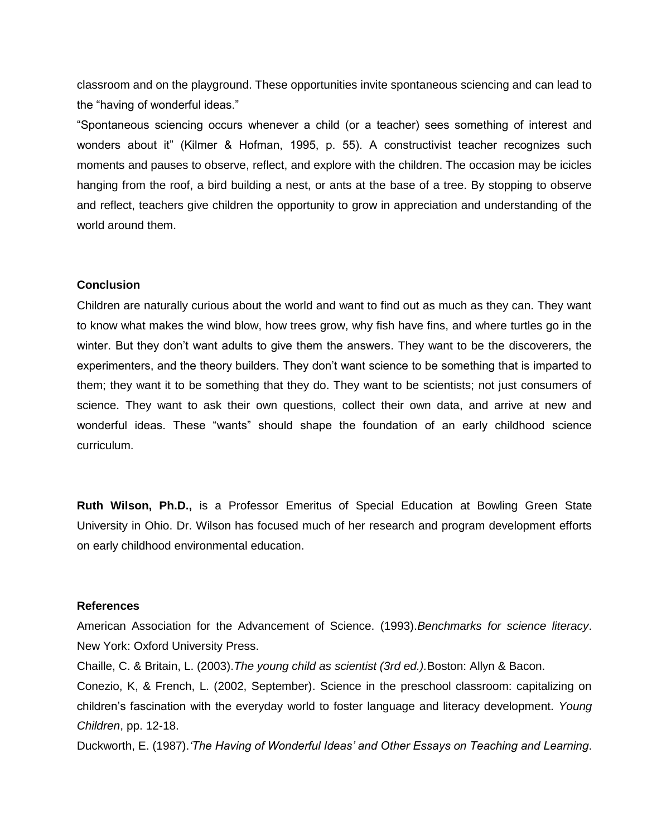classroom and on the playground. These opportunities invite spontaneous sciencing and can lead to the "having of wonderful ideas."

"Spontaneous sciencing occurs whenever a child (or a teacher) sees something of interest and wonders about it" (Kilmer & Hofman, 1995, p. 55). A constructivist teacher recognizes such moments and pauses to observe, reflect, and explore with the children. The occasion may be icicles hanging from the roof, a bird building a nest, or ants at the base of a tree. By stopping to observe and reflect, teachers give children the opportunity to grow in appreciation and understanding of the world around them.

#### **Conclusion**

Children are naturally curious about the world and want to find out as much as they can. They want to know what makes the wind blow, how trees grow, why fish have fins, and where turtles go in the winter. But they don't want adults to give them the answers. They want to be the discoverers, the experimenters, and the theory builders. They don't want science to be something that is imparted to them; they want it to be something that they do. They want to be scientists; not just consumers of science. They want to ask their own questions, collect their own data, and arrive at new and wonderful ideas. These "wants" should shape the foundation of an early childhood science curriculum.

**Ruth Wilson, Ph.D.,** is a Professor Emeritus of Special Education at Bowling Green State University in Ohio. Dr. Wilson has focused much of her research and program development efforts on early childhood environmental education.

#### **References**

American Association for the Advancement of Science. (1993).*Benchmarks for science literacy*. New York: Oxford University Press.

Chaille, C. & Britain, L. (2003).*The young child as scientist (3rd ed.).*Boston: Allyn & Bacon.

Conezio, K, & French, L. (2002, September). Science in the preschool classroom: capitalizing on children's fascination with the everyday world to foster language and literacy development. *Young Children*, pp. 12-18.

Duckworth, E. (1987).*'The Having of Wonderful Ideas' and Other Essays on Teaching and Learning*.